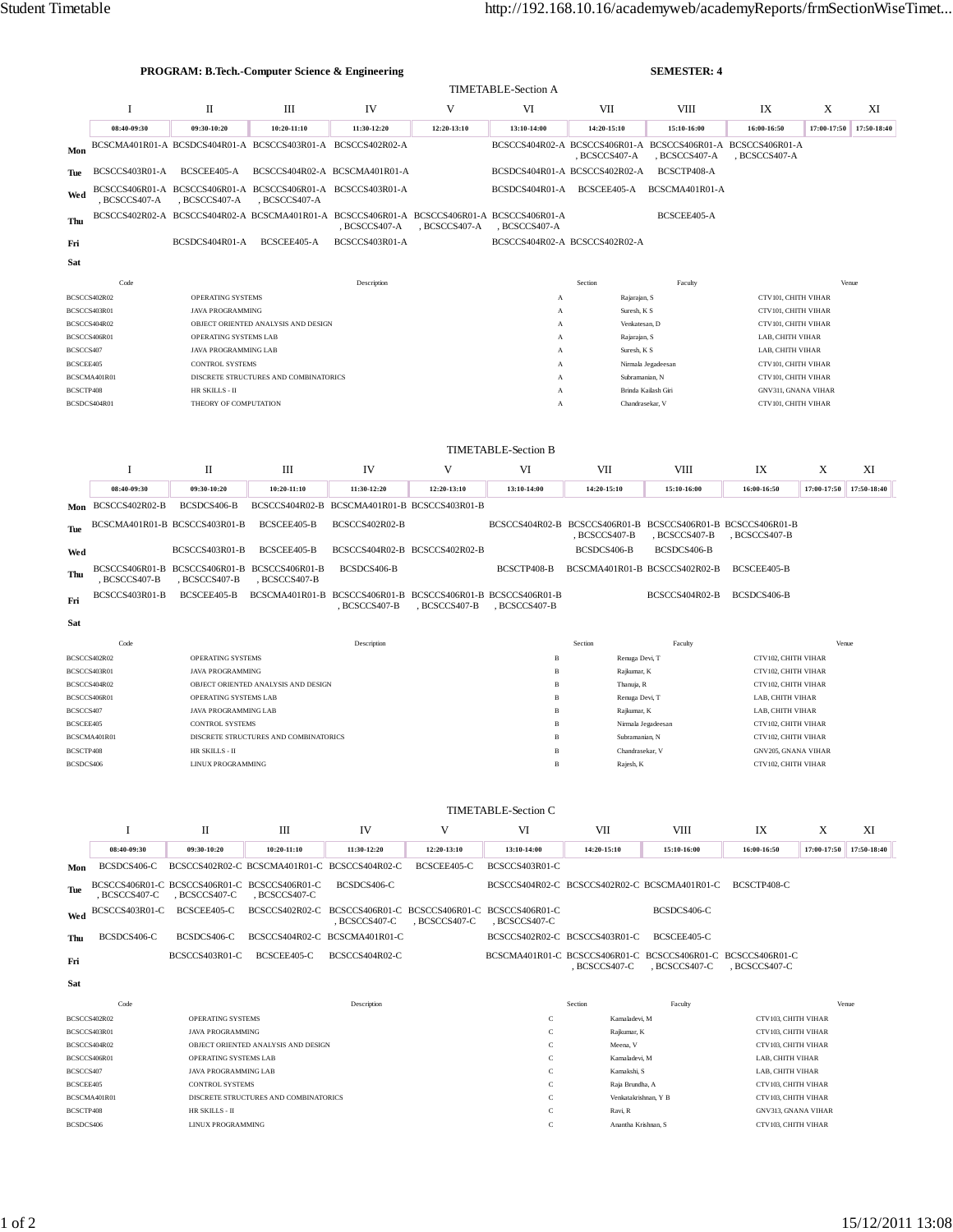|                              |                                              |                                                                 | <b>PROGRAM: B.Tech.-Computer Science &amp; Engineering</b>  |                                                                                                            |               | <b>SEMESTER: 4</b>               |                                                                               |                     |                                            |             |             |  |
|------------------------------|----------------------------------------------|-----------------------------------------------------------------|-------------------------------------------------------------|------------------------------------------------------------------------------------------------------------|---------------|----------------------------------|-------------------------------------------------------------------------------|---------------------|--------------------------------------------|-------------|-------------|--|
|                              |                                              |                                                                 |                                                             |                                                                                                            |               | <b>TIMETABLE-Section A</b>       |                                                                               |                     |                                            |             |             |  |
|                              | Ι                                            | П                                                               | Ш                                                           | IV                                                                                                         | V             | VI                               | VII                                                                           | <b>VIII</b>         | IX                                         | X           | XI          |  |
|                              | 08:40-09:30                                  | 09:30-10:20                                                     | 10:20-11:10                                                 | 11:30-12:20                                                                                                | 12:20-13:10   | 13:10-14:00                      | 14:20-15:10                                                                   | 15:10-16:00         | 16:00-16:50                                | 17:00-17:50 | 17:50-18:40 |  |
| Mon                          |                                              |                                                                 |                                                             | BCSCMA401R01-A BCSDCS404R01-A BCSCCS403R01-A BCSCCS402R02-A                                                |               |                                  | BCSCCS404R02-A BCSCCS406R01-A BCSCCS406R01-A BCSCCS406R01-A<br>, BCSCCS407-A  | , BCSCCS407-A       | , BCSCCS407-A                              |             |             |  |
| Tue                          | BCSCCS403R01-A                               | BCSCEE405-A                                                     |                                                             | BCSCCS404R02-A BCSCMA401R01-A                                                                              |               |                                  | BCSDCS404R01-A BCSCCS402R02-A                                                 | BCSCTP408-A         |                                            |             |             |  |
| Wed                          | , BCSCCS407-A                                | , BCSCCS407-A                                                   | , BCSCCS407-A                                               | BCSCCS406R01-A BCSCCS406R01-A BCSCCS406R01-A BCSCCS403R01-A                                                |               |                                  | BCSDCS404R01-A BCSCEE405-A                                                    | BCSCMA401R01-A      |                                            |             |             |  |
| Thu                          |                                              |                                                                 |                                                             | BCSCCS402R02-A BCSCCS404R02-A BCSCMA401R01-A BCSCCS406R01-A BCSCCS406R01-A BCSCCS406R01-A<br>, BCSCCS407-A | , BCSCCS407-A | , BCSCCS407-A                    |                                                                               | BCSCEE405-A         |                                            |             |             |  |
| Fri                          |                                              | BCSDCS404R01-A                                                  | BCSCEE405-A                                                 | BCSCCS403R01-A                                                                                             |               |                                  | BCSCCS404R02-A BCSCCS402R02-A                                                 |                     |                                            |             |             |  |
| Sat                          |                                              |                                                                 |                                                             |                                                                                                            |               |                                  |                                                                               |                     |                                            |             |             |  |
|                              | Code                                         |                                                                 |                                                             | Description                                                                                                |               |                                  | Section                                                                       | Faculty             |                                            |             | Venue       |  |
| BCSCCS402R02                 |                                              | OPERATING SYSTEMS                                               |                                                             |                                                                                                            |               | $\mathbf{A}$                     | Rajarajan, S                                                                  |                     | CTV101, CHITH VIHAR                        |             |             |  |
| BCSCCS403R01                 |                                              | <b>JAVA PROGRAMMING</b>                                         |                                                             |                                                                                                            |               | A                                | Suresh, K S                                                                   |                     | CTV101, CHITH VIHAR                        |             |             |  |
| BCSCCS404R02                 |                                              |                                                                 | OBJECT ORIENTED ANALYSIS AND DESIGN                         |                                                                                                            |               | A                                | Venkatesan, D                                                                 |                     | CTV101, CHITH VIHAR                        |             |             |  |
| BCSCCS406R01                 |                                              | OPERATING SYSTEMS LAB                                           |                                                             |                                                                                                            |               | A                                | Rajarajan, S                                                                  |                     | LAB, CHITH VIHAR                           |             |             |  |
| BCSCCS407<br>BCSCEE405       |                                              | <b>JAVA PROGRAMMING LAB</b><br><b>CONTROL SYSTEMS</b>           |                                                             |                                                                                                            |               | A<br>A                           | Suresh, K S                                                                   | Nirmala Jegadeesan  | LAB, CHITH VIHAR<br>CTV101, CHITH VIHAR    |             |             |  |
|                              | BCSCMA401R01                                 |                                                                 | DISCRETE STRUCTURES AND COMBINATORICS                       |                                                                                                            |               | $\mathbf{A}$                     | Subramanian, N                                                                |                     | CTV101, CHITH VIHAR                        |             |             |  |
| BCSCTP408                    |                                              | HR SKILLS - II                                                  |                                                             |                                                                                                            |               | A                                |                                                                               | Brinda Kailash Giri | GNV311, GNANA VIHAR                        |             |             |  |
| BCSDCS404R01                 |                                              | THEORY OF COMPUTATION                                           |                                                             |                                                                                                            |               | A                                | Chandrasekar, V                                                               |                     | CTV101, CHITH VIHAR                        |             |             |  |
|                              |                                              |                                                                 |                                                             |                                                                                                            |               | <b>TIMETABLE-Section B</b>       |                                                                               |                     |                                            |             |             |  |
|                              | 1                                            | П                                                               | Ш                                                           | IV                                                                                                         | V             | VI                               | VII                                                                           | VIII                | IX                                         | X           | XI          |  |
|                              | 08:40-09:30                                  | 09:30-10:20                                                     | $10:20 - 11:10$                                             | 11:30-12:20                                                                                                | 12:20-13:10   | 13:10-14:00                      | 14:20-15:10                                                                   | 15:10-16:00         | 16:00-16:50                                | 17:00-17:50 | 17:50-18:40 |  |
| Mon                          | BCSCCS402R02-B                               | BCSDCS406-B                                                     |                                                             | BCSCCS404R02-B BCSCMA401R01-B BCSCCS403R01-B                                                               |               |                                  |                                                                               |                     |                                            |             |             |  |
| Tue                          | BCSCMA401R01-B BCSCCS403R01-B                |                                                                 | BCSCEE405-B                                                 | BCSCCS402R02-B                                                                                             |               |                                  | BCSCCS404R02-B BCSCCS406R01-B BCSCCS406R01-B BCSCCS406R01-B<br>, BCSCCS407-B  | , BCSCCS407-B       | , BCSCCS407-B                              |             |             |  |
| Wed                          |                                              | BCSCCS403R01-B                                                  | BCSCEE405-B                                                 | BCSCCS404R02-B BCSCCS402R02-B                                                                              |               |                                  | BCSDCS406-B                                                                   | BCSDCS406-B         |                                            |             |             |  |
| Thu                          | , BCSCCS407-B                                | BCSCCS406R01-B BCSCCS406R01-B BCSCCS406R01-B<br>, BCSCCS407-B   | , BCSCCS407-B                                               | BCSDCS406-B                                                                                                |               | BCSCTP408-B                      | BCSCMA401R01-B BCSCCS402R02-B                                                 |                     | BCSCEE405-B                                |             |             |  |
| Fri                          | BCSCCS403R01-B                               | BCSCEE405-B                                                     |                                                             | BCSCMA401R01-B BCSCCS406R01-B BCSCCS406R01-B BCSCCS406R01-B<br>, BCSCCS407-B                               | , BCSCCS407-B | , BCSCCS407-B                    |                                                                               | BCSCCS404R02-B      | BCSDCS406-B                                |             |             |  |
| Sat                          |                                              |                                                                 |                                                             |                                                                                                            |               |                                  |                                                                               |                     |                                            |             |             |  |
|                              | Code                                         |                                                                 |                                                             | Description                                                                                                |               |                                  | Section                                                                       | Faculty             |                                            | Venue       |             |  |
| BCSCCS402R02                 |                                              | OPERATING SYSTEMS                                               |                                                             |                                                                                                            |               | $_{\rm B}$                       | Renuga Devi, T                                                                |                     | CTV102, CHITH VIHAR                        |             |             |  |
| BCSCCS403R01<br>BCSCCS404R02 |                                              | <b>JAVA PROGRAMMING</b><br>OBJECT ORIENTED ANALYSIS AND DESIGN  |                                                             |                                                                                                            |               | В<br>$_{\rm B}$                  | Rajkumar, K<br>Thanuja, R                                                     |                     | CTV102, CHITH VIHAR<br>CTV102, CHITH VIHAR |             |             |  |
| BCSCCS406R01                 |                                              | OPERATING SYSTEMS LAB                                           |                                                             |                                                                                                            |               | $_{\rm B}$                       | Renuga Devi, T                                                                |                     | LAB, CHITH VIHAR                           |             |             |  |
| BCSCCS407                    |                                              | <b>JAVA PROGRAMMING LAB</b>                                     |                                                             |                                                                                                            |               | B                                | Rajkumar, K                                                                   |                     | LAB, CHITH VIHAR                           |             |             |  |
| BCSCEE405                    |                                              | <b>CONTROL SYSTEMS</b><br>DISCRETE STRUCTURES AND COMBINATORICS |                                                             |                                                                                                            |               | $_{\rm B}$<br>B                  | Nirmala Jegadeesan<br>Subramanian, N                                          |                     | CTV102, CHITH VIHAR<br>CTV102, CHITH VIHAR |             |             |  |
| BCSCMA401R01<br>BCSCTP408    |                                              | HR SKILLS - II                                                  |                                                             |                                                                                                            |               | $\overline{B}$                   | Chandrasekar, V                                                               |                     | GNV205, GNANA VIHAR                        |             |             |  |
| BCSDCS406                    |                                              |                                                                 | LINUX PROGRAMMING                                           |                                                                                                            |               |                                  | Rajesh, K                                                                     |                     | CTV102, CHITH VIHAR                        |             |             |  |
|                              |                                              |                                                                 |                                                             |                                                                                                            |               |                                  |                                                                               |                     |                                            |             |             |  |
|                              | Ι                                            | П                                                               | Ш                                                           | IV                                                                                                         | V             | <b>TIMETABLE-Section C</b><br>VI | VII                                                                           | <b>VIII</b>         | IX                                         | X           | XI          |  |
|                              |                                              |                                                                 |                                                             | 11:30-12:20                                                                                                | 12:20-13:10   | 13:10-14:00                      |                                                                               |                     |                                            |             |             |  |
|                              | 08:40-09:30<br>BCSDCS406-C                   | 09:30-10:20                                                     | 10:20-11:10<br>BCSCCS402R02-C BCSCMA401R01-C BCSCCS404R02-C |                                                                                                            | BCSCEE405-C   | BCSCCS403R01-C                   | 14:20-15:10                                                                   | 15:10-16:00         | 16:00-16:50                                | 17:00-17:50 | 17:50-18:40 |  |
| Mon<br>Tue                   | BCSCCS406R01-C BCSCCS406R01-C BCSCCS406R01-C |                                                                 |                                                             | BCSDCS406-C                                                                                                |               |                                  | BCSCCS404R02-C BCSCCS402R02-C BCSCMA401R01-C                                  |                     | BCSCTP408-C                                |             |             |  |
| Wed                          | , BCSCCS407-C<br>BCSCCS403R01-C              | , BCSCCS407-C<br>BCSCEE405-C                                    | , BCSCCS407-C                                               | BCSCCS402R02-C BCSCCS406R01-C BCSCCS406R01-C<br>, BCSCCS407-C                                              | , BCSCCS407-C | BCSCCS406R01-C<br>, BCSCCS407-C  |                                                                               | BCSDCS406-C         |                                            |             |             |  |
| Thu                          | BCSDCS406-C                                  | BCSDCS406-C                                                     |                                                             | BCSCCS404R02-C BCSCMA401R01-C                                                                              |               | BCSCCS402R02-C BCSCCS403R01-C    |                                                                               | BCSCEE405-C         |                                            |             |             |  |
| Fri                          |                                              | BCSCCS403R01-C                                                  | BCSCEE405-C                                                 | BCSCCS404R02-C                                                                                             |               |                                  | BCSCMA401R01-C BCSCCS406R01-C BCSCCS406R01-C BCSCCS406R01-C<br>, BCSCCS407-C  | , BCSCCS407-C       | , BCSCCS407-C                              |             |             |  |
| Sat                          |                                              |                                                                 |                                                             |                                                                                                            |               |                                  |                                                                               |                     |                                            |             |             |  |
|                              | Code                                         |                                                                 |                                                             | Description                                                                                                |               |                                  | Section                                                                       | Faculty             |                                            |             | Venue       |  |
| BCSCCS402R02                 |                                              | OPERATING SYSTEMS                                               |                                                             |                                                                                                            |               | $\mathbf C$                      | Kamaladevi, M                                                                 |                     | CTV103, CHITH VIHAR                        |             |             |  |
| BCSCCS403R01<br>BCSCCS404R02 |                                              | <b>JAVA PROGRAMMING</b><br>OBJECT ORIENTED ANALYSIS AND DESIGN  |                                                             |                                                                                                            |               | $\mathbf C$<br>C                 | Rajkumar, K<br>Meena, V                                                       |                     | CTV103, CHITH VIHAR<br>CTV103, CHITH VIHAR |             |             |  |
| BCSCCS406R01                 |                                              | OPERATING SYSTEMS LAB                                           |                                                             |                                                                                                            |               | C                                | Kamaladevi, M                                                                 |                     | LAB, CHITH VIHAR                           |             |             |  |
| BCSCCS407                    |                                              | JAVA PROGRAMMING LAB                                            |                                                             |                                                                                                            |               | C                                | Kamakshi, S<br>LAB, CHITH VIHAR                                               |                     |                                            |             |             |  |
| BCSCEE405                    |                                              | <b>CONTROL SYSTEMS</b>                                          |                                                             |                                                                                                            |               | C                                | CTV103, CHITH VIHAR<br>Raja Brundha, A                                        |                     |                                            |             |             |  |
| BCSCTP408                    | BCSCMA401R01                                 | DISCRETE STRUCTURES AND COMBINATORICS<br>HR SKILLS - II         |                                                             |                                                                                                            |               | $\mathbf C$<br>C                 | CTV103, CHITH VIHAR<br>Venkatakrishnan, Y B<br>Ravi, R<br>GNV313, GNANA VIHAR |                     |                                            |             |             |  |
| BCSDCS406                    |                                              | LINUX PROGRAMMING                                               |                                                             |                                                                                                            |               | с                                | Anantha Krishnan, S                                                           |                     | CTV103, CHITH VIHAR                        |             |             |  |
|                              |                                              |                                                                 |                                                             |                                                                                                            |               |                                  |                                                                               |                     |                                            |             |             |  |